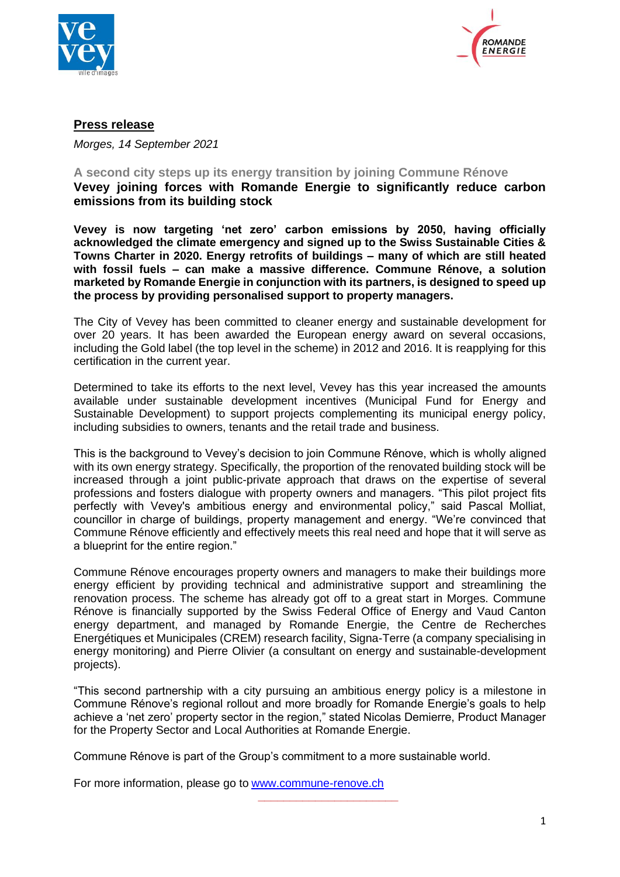



# **Press release**

*Morges, 14 September 2021*

#### **A second city steps up its energy transition by joining Commune Rénove Vevey joining forces with Romande Energie to significantly reduce carbon emissions from its building stock**

**Vevey is now targeting 'net zero' carbon emissions by 2050, having officially acknowledged the climate emergency and signed up to the Swiss Sustainable Cities & Towns Charter in 2020. Energy retrofits of buildings – many of which are still heated with fossil fuels – can make a massive difference. Commune Rénove, a solution marketed by Romande Energie in conjunction with its partners, is designed to speed up the process by providing personalised support to property managers.**

The City of Vevey has been committed to cleaner energy and sustainable development for over 20 years. It has been awarded the European energy award on several occasions, including the Gold label (the top level in the scheme) in 2012 and 2016. It is reapplying for this certification in the current year.

Determined to take its efforts to the next level, Vevey has this year increased the amounts available under sustainable development incentives (Municipal Fund for Energy and Sustainable Development) to support projects complementing its municipal energy policy, including subsidies to owners, tenants and the retail trade and business.

This is the background to Vevey's decision to join Commune Rénove, which is wholly aligned with its own energy strategy. Specifically, the proportion of the renovated building stock will be increased through a joint public-private approach that draws on the expertise of several professions and fosters dialogue with property owners and managers. "This pilot project fits perfectly with Vevey's ambitious energy and environmental policy," said Pascal Molliat, councillor in charge of buildings, property management and energy. "We're convinced that Commune Rénove efficiently and effectively meets this real need and hope that it will serve as a blueprint for the entire region."

Commune Rénove encourages property owners and managers to make their buildings more energy efficient by providing technical and administrative support and streamlining the renovation process. The scheme has already got off to a great start in Morges. Commune Rénove is financially supported by the Swiss Federal Office of Energy and Vaud Canton energy department, and managed by Romande Energie, the Centre de Recherches Energétiques et Municipales (CREM) research facility, Signa-Terre (a company specialising in energy monitoring) and Pierre Olivier (a consultant on energy and sustainable-development projects).

"This second partnership with a city pursuing an ambitious energy policy is a milestone in Commune Rénove's regional rollout and more broadly for Romande Energie's goals to help achieve a 'net zero' property sector in the region," stated Nicolas Demierre, Product Manager for the Property Sector and Local Authorities at Romande Energie.

**\_\_\_\_\_\_\_\_\_\_\_\_\_\_\_\_\_\_\_\_\_\_**

Commune Rénove is part of the Group's commitment to a more sustainable world.

For more information, please go to [www.commune-renove.ch](http://www.commune-renove.ch/)